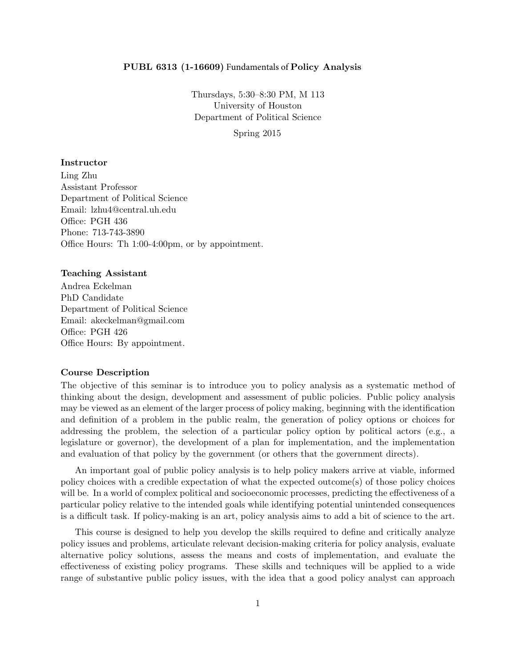### PUBL 6313 (1-16609) Fundamentals of Policy Analysis

Thursdays, 5:30–8:30 PM, M 113 University of Houston Department of Political Science

Spring 2015

### Instructor

Ling Zhu Assistant Professor Department of Political Science Email: lzhu4@central.uh.edu Office: PGH 436 Phone: 713-743-3890 Office Hours: Th 1:00-4:00pm, or by appointment.

### Teaching Assistant

Andrea Eckelman PhD Candidate Department of Political Science Email: akeckelman@gmail.com Office: PGH 426 Office Hours: By appointment.

#### Course Description

The objective of this seminar is to introduce you to policy analysis as a systematic method of thinking about the design, development and assessment of public policies. Public policy analysis may be viewed as an element of the larger process of policy making, beginning with the identification and definition of a problem in the public realm, the generation of policy options or choices for addressing the problem, the selection of a particular policy option by political actors (e.g., a legislature or governor), the development of a plan for implementation, and the implementation and evaluation of that policy by the government (or others that the government directs).

An important goal of public policy analysis is to help policy makers arrive at viable, informed policy choices with a credible expectation of what the expected outcome(s) of those policy choices will be. In a world of complex political and socioeconomic processes, predicting the effectiveness of a particular policy relative to the intended goals while identifying potential unintended consequences is a difficult task. If policy-making is an art, policy analysis aims to add a bit of science to the art.

This course is designed to help you develop the skills required to define and critically analyze policy issues and problems, articulate relevant decision-making criteria for policy analysis, evaluate alternative policy solutions, assess the means and costs of implementation, and evaluate the effectiveness of existing policy programs. These skills and techniques will be applied to a wide range of substantive public policy issues, with the idea that a good policy analyst can approach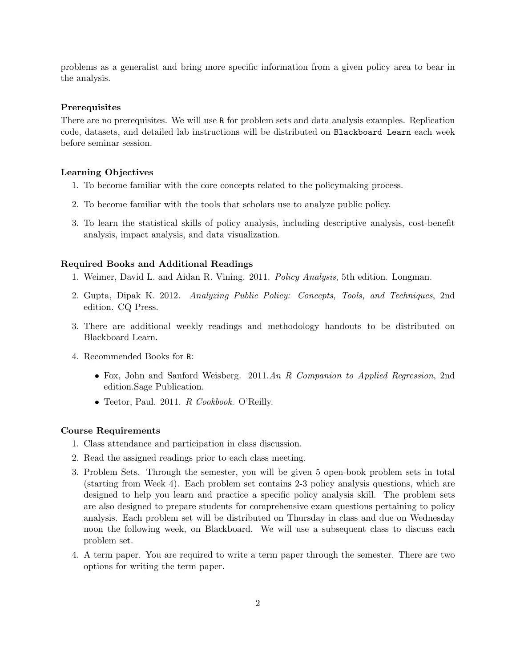problems as a generalist and bring more specific information from a given policy area to bear in the analysis.

#### **Prerequisites**

There are no prerequisites. We will use R for problem sets and data analysis examples. Replication code, datasets, and detailed lab instructions will be distributed on Blackboard Learn each week before seminar session.

#### Learning Objectives

- 1. To become familiar with the core concepts related to the policymaking process.
- 2. To become familiar with the tools that scholars use to analyze public policy.
- 3. To learn the statistical skills of policy analysis, including descriptive analysis, cost-benefit analysis, impact analysis, and data visualization.

#### Required Books and Additional Readings

- 1. Weimer, David L. and Aidan R. Vining. 2011. Policy Analysis, 5th edition. Longman.
- 2. Gupta, Dipak K. 2012. Analyzing Public Policy: Concepts, Tools, and Techniques, 2nd edition. CQ Press.
- 3. There are additional weekly readings and methodology handouts to be distributed on Blackboard Learn.
- 4. Recommended Books for R:
	- Fox, John and Sanford Weisberg. 2011.An R Companion to Applied Regression, 2nd edition.Sage Publication.
	- Teetor, Paul. 2011. R Cookbook. O'Reilly.

#### Course Requirements

- 1. Class attendance and participation in class discussion.
- 2. Read the assigned readings prior to each class meeting.
- 3. Problem Sets. Through the semester, you will be given 5 open-book problem sets in total (starting from Week 4). Each problem set contains 2-3 policy analysis questions, which are designed to help you learn and practice a specific policy analysis skill. The problem sets are also designed to prepare students for comprehensive exam questions pertaining to policy analysis. Each problem set will be distributed on Thursday in class and due on Wednesday noon the following week, on Blackboard. We will use a subsequent class to discuss each problem set.
- 4. A term paper. You are required to write a term paper through the semester. There are two options for writing the term paper.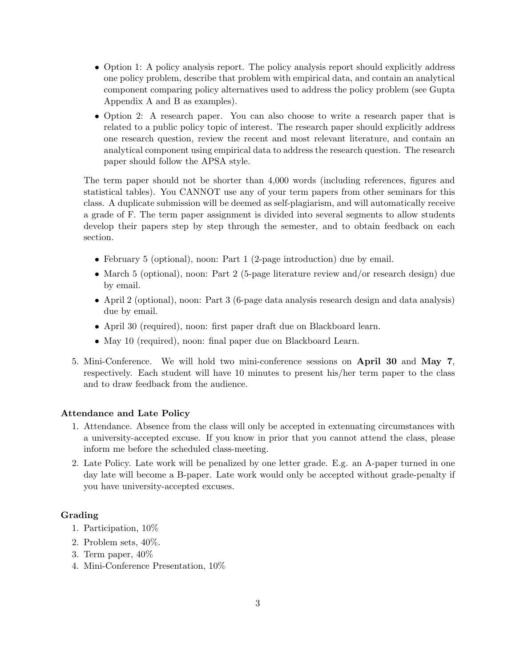- Option 1: A policy analysis report. The policy analysis report should explicitly address one policy problem, describe that problem with empirical data, and contain an analytical component comparing policy alternatives used to address the policy problem (see Gupta Appendix A and B as examples).
- Option 2: A research paper. You can also choose to write a research paper that is related to a public policy topic of interest. The research paper should explicitly address one research question, review the recent and most relevant literature, and contain an analytical component using empirical data to address the research question. The research paper should follow the APSA style.

The term paper should not be shorter than 4,000 words (including references, figures and statistical tables). You CANNOT use any of your term papers from other seminars for this class. A duplicate submission will be deemed as self-plagiarism, and will automatically receive a grade of F. The term paper assignment is divided into several segments to allow students develop their papers step by step through the semester, and to obtain feedback on each section.

- February 5 (optional), noon: Part 1 (2-page introduction) due by email.
- March 5 (optional), noon: Part 2 (5-page literature review and/or research design) due by email.
- April 2 (optional), noon: Part 3 (6-page data analysis research design and data analysis) due by email.
- April 30 (required), noon: first paper draft due on Blackboard learn.
- May 10 (required), noon: final paper due on Blackboard Learn.
- 5. Mini-Conference. We will hold two mini-conference sessions on April 30 and May 7, respectively. Each student will have 10 minutes to present his/her term paper to the class and to draw feedback from the audience.

## Attendance and Late Policy

- 1. Attendance. Absence from the class will only be accepted in extenuating circumstances with a university-accepted excuse. If you know in prior that you cannot attend the class, please inform me before the scheduled class-meeting.
- 2. Late Policy. Late work will be penalized by one letter grade. E.g. an A-paper turned in one day late will become a B-paper. Late work would only be accepted without grade-penalty if you have university-accepted excuses.

### Grading

- 1. Participation, 10%
- 2. Problem sets, 40%.
- 3. Term paper, 40%
- 4. Mini-Conference Presentation, 10%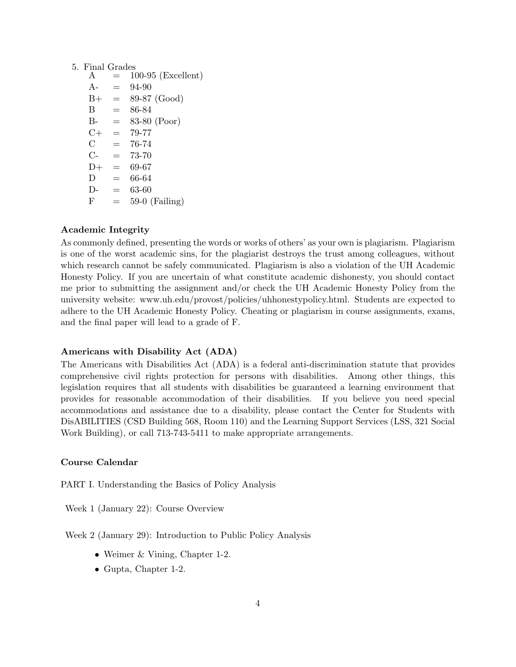# 5. Final Grades

| A              |     | $100-95$ (Excellent) |
|----------------|-----|----------------------|
| $A -$          | $=$ | 94-90                |
| $B+$           | $=$ | 89-87 (Good)         |
| B              | —   | 86-84                |
| $B -$          | $=$ | 83-80 (Poor)         |
| $C+$           | $=$ | 79-77                |
| $\overline{C}$ | $=$ | 76-74                |
| $C-$           | $=$ | 73-70                |
| $D+$           | $=$ | 69-67                |
| D              | $=$ | 66-64                |
| $\Gamma$       | -   | 63-60                |
| F              |     | $59-0$ (Failing)     |

# Academic Integrity

As commonly defined, presenting the words or works of others' as your own is plagiarism. Plagiarism is one of the worst academic sins, for the plagiarist destroys the trust among colleagues, without which research cannot be safely communicated. Plagiarism is also a violation of the UH Academic Honesty Policy. If you are uncertain of what constitute academic dishonesty, you should contact me prior to submitting the assignment and/or check the UH Academic Honesty Policy from the university website: www.uh.edu/provost/policies/uhhonestypolicy.html. Students are expected to adhere to the UH Academic Honesty Policy. Cheating or plagiarism in course assignments, exams, and the final paper will lead to a grade of F.

## Americans with Disability Act (ADA)

The Americans with Disabilities Act (ADA) is a federal anti-discrimination statute that provides comprehensive civil rights protection for persons with disabilities. Among other things, this legislation requires that all students with disabilities be guaranteed a learning environment that provides for reasonable accommodation of their disabilities. If you believe you need special accommodations and assistance due to a disability, please contact the Center for Students with DisABILITIES (CSD Building 568, Room 110) and the Learning Support Services (LSS, 321 Social Work Building), or call 713-743-5411 to make appropriate arrangements.

## Course Calendar

PART I. Understanding the Basics of Policy Analysis

Week 1 (January 22): Course Overview

Week 2 (January 29): Introduction to Public Policy Analysis

- Weimer & Vining, Chapter 1-2.
- Gupta, Chapter 1-2.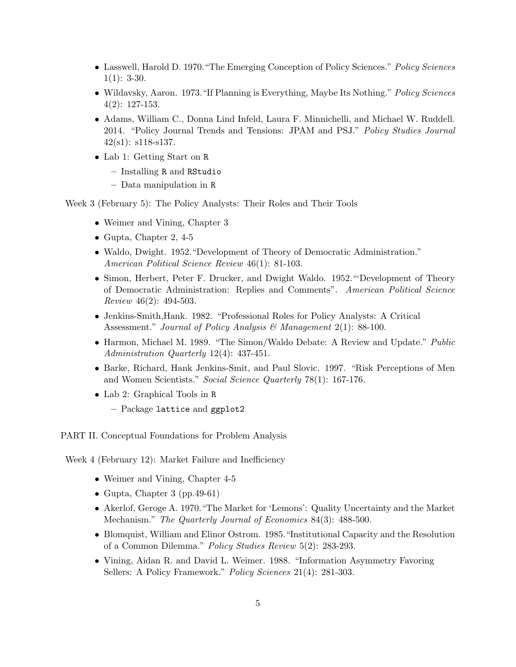- Lasswell, Harold D. 1970. "The Emerging Conception of Policy Sciences." Policy Sciences  $1(1): 3-30.$
- Wildavsky, Aaron. 1973. "If Planning is Everything, Maybe Its Nothing." *Policy Sciences* 4(2): 127-153.
- Adams, William C., Donna Lind Infeld, Laura F. Minnichelli, and Michael W. Ruddell. 2014. "Policy Journal Trends and Tensions: JPAM and PSJ." Policy Studies Journal  $42(s1):$  s118-s137.
- Lab 1: Getting Start on R
	- Installing R and RStudio
	- Data manipulation in R

Week 3 (February 5): The Policy Analysts: Their Roles and Their Tools

- Weimer and Vining, Chapter 3
- Gupta, Chapter 2, 4-5
- Waldo, Dwight. 1952. "Development of Theory of Democratic Administration." American Political Science Review 46(1): 81-103.
- Simon, Herbert, Peter F. Drucker, and Dwight Waldo. 1952."'Development of Theory of Democratic Administration: Replies and Comments". American Political Science Review 46(2): 494-503.
- Jenkins-Smith,Hank. 1982. "Professional Roles for Policy Analysts: A Critical Assessment." Journal of Policy Analysis & Management  $2(1)$ : 88-100.
- Harmon, Michael M. 1989. "The Simon/Waldo Debate: A Review and Update." Public Administration Quarterly 12(4): 437-451.
- Barke, Richard, Hank Jenkins-Smit, and Paul Slovic. 1997. "Risk Perceptions of Men and Women Scientists." Social Science Quarterly 78(1): 167-176.
- Lab 2: Graphical Tools in R
	- Package lattice and ggplot2

PART II. Conceptual Foundations for Problem Analysis

Week 4 (February 12): Market Failure and Inefficiency

- Weimer and Vining, Chapter 4-5
- Gupta, Chapter 3 (pp.49-61)
- Akerlof, Geroge A. 1970."The Market for 'Lemons': Quality Uncertainty and the Market Mechanism." The Quarterly Journal of Economics 84(3): 488-500.
- Blomquist, William and Elinor Ostrom. 1985."Institutional Capacity and the Resolution of a Common Dilemma." Policy Studies Review 5(2): 283-293.
- Vining, Aidan R. and David L. Weimer. 1988. "Information Asymmetry Favoring Sellers: A Policy Framework." *Policy Sciences* 21(4): 281-303.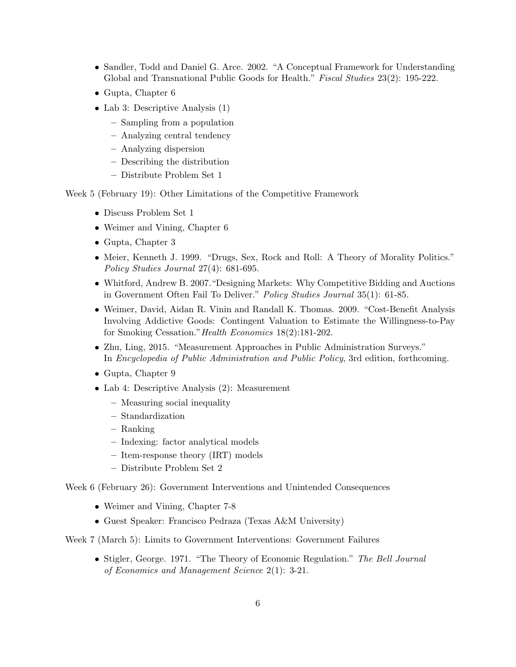- Sandler, Todd and Daniel G. Arce. 2002. "A Conceptual Framework for Understanding Global and Transnational Public Goods for Health." Fiscal Studies 23(2): 195-222.
- Gupta, Chapter 6
- Lab 3: Descriptive Analysis (1)
	- Sampling from a population
	- Analyzing central tendency
	- Analyzing dispersion
	- Describing the distribution
	- Distribute Problem Set 1

Week 5 (February 19): Other Limitations of the Competitive Framework

- Discuss Problem Set 1
- Weimer and Vining, Chapter 6
- Gupta, Chapter 3
- Meier, Kenneth J. 1999. "Drugs, Sex, Rock and Roll: A Theory of Morality Politics." Policy Studies Journal 27(4): 681-695.
- Whitford, Andrew B. 2007."Designing Markets: Why Competitive Bidding and Auctions in Government Often Fail To Deliver." Policy Studies Journal 35(1): 61-85.
- Weimer, David, Aidan R. Vinin and Randall K. Thomas. 2009. "Cost-Benefit Analysis Involving Addictive Goods: Contingent Valuation to Estimate the Willingness-to-Pay for Smoking Cessation."Health Economics 18(2):181-202.
- Zhu, Ling, 2015. "Measurement Approaches in Public Administration Surveys." In Encyclopedia of Public Administration and Public Policy, 3rd edition, forthcoming.
- Gupta, Chapter 9
- Lab 4: Descriptive Analysis (2): Measurement
	- Measuring social inequality
	- Standardization
	- Ranking
	- Indexing: factor analytical models
	- Item-response theory (IRT) models
	- Distribute Problem Set 2

Week 6 (February 26): Government Interventions and Unintended Consequences

- Weimer and Vining, Chapter 7-8
- Guest Speaker: Francisco Pedraza (Texas A&M University)

Week 7 (March 5): Limits to Government Interventions: Government Failures

• Stigler, George. 1971. "The Theory of Economic Regulation." The Bell Journal of Economics and Management Science 2(1): 3-21.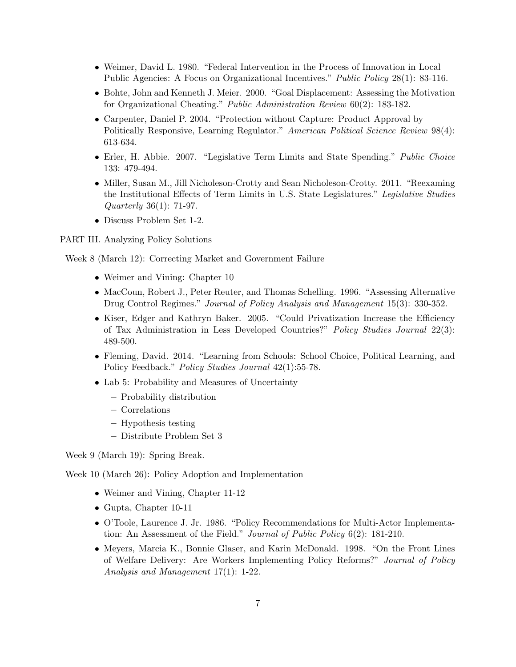- Weimer, David L. 1980. "Federal Intervention in the Process of Innovation in Local Public Agencies: A Focus on Organizational Incentives." Public Policy 28(1): 83-116.
- Bohte, John and Kenneth J. Meier. 2000. "Goal Displacement: Assessing the Motivation for Organizational Cheating." Public Administration Review 60(2): 183-182.
- Carpenter, Daniel P. 2004. "Protection without Capture: Product Approval by Politically Responsive, Learning Regulator." American Political Science Review 98(4): 613-634.
- Erler, H. Abbie. 2007. "Legislative Term Limits and State Spending." Public Choice 133: 479-494.
- Miller, Susan M., Jill Nicholeson-Crotty and Sean Nicholeson-Crotty. 2011. "Reexaming the Institutional Effects of Term Limits in U.S. State Legislatures." Legislative Studies Quarterly 36(1): 71-97.
- Discuss Problem Set 1-2.

PART III. Analyzing Policy Solutions

Week 8 (March 12): Correcting Market and Government Failure

- Weimer and Vining: Chapter 10
- MacCoun, Robert J., Peter Reuter, and Thomas Schelling. 1996. "Assessing Alternative Drug Control Regimes." Journal of Policy Analysis and Management 15(3): 330-352.
- Kiser, Edger and Kathryn Baker. 2005. "Could Privatization Increase the Efficiency of Tax Administration in Less Developed Countries?" Policy Studies Journal 22(3): 489-500.
- Fleming, David. 2014. "Learning from Schools: School Choice, Political Learning, and Policy Feedback." Policy Studies Journal 42(1):55-78.
- Lab 5: Probability and Measures of Uncertainty
	- Probability distribution
	- Correlations
	- Hypothesis testing
	- Distribute Problem Set 3

Week 9 (March 19): Spring Break.

Week 10 (March 26): Policy Adoption and Implementation

- Weimer and Vining, Chapter 11-12
- Gupta, Chapter 10-11
- O'Toole, Laurence J. Jr. 1986. "Policy Recommendations for Multi-Actor Implementation: An Assessment of the Field." Journal of Public Policy 6(2): 181-210.
- Meyers, Marcia K., Bonnie Glaser, and Karin McDonald. 1998. "On the Front Lines of Welfare Delivery: Are Workers Implementing Policy Reforms?" Journal of Policy Analysis and Management 17(1): 1-22.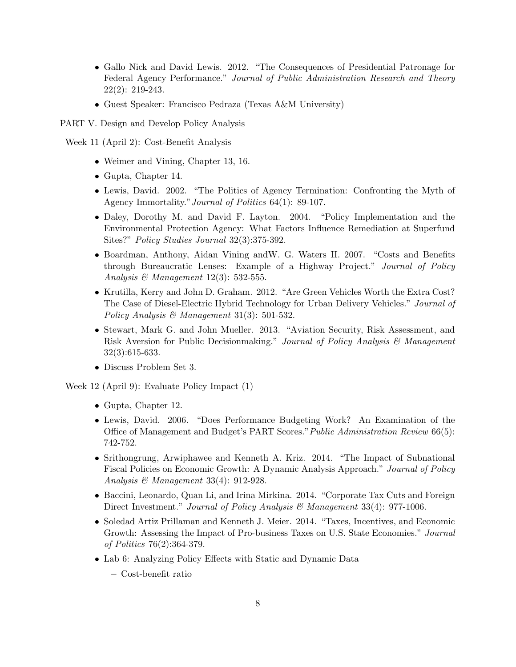- Gallo Nick and David Lewis. 2012. "The Consequences of Presidential Patronage for Federal Agency Performance." Journal of Public Administration Research and Theory 22(2): 219-243.
- Guest Speaker: Francisco Pedraza (Texas A&M University)
- PART V. Design and Develop Policy Analysis
- Week 11 (April 2): Cost-Benefit Analysis
	- Weimer and Vining, Chapter 13, 16.
	- Gupta, Chapter 14.
	- Lewis, David. 2002. "The Politics of Agency Termination: Confronting the Myth of Agency Immortality."Journal of Politics 64(1): 89-107.
	- Daley, Dorothy M. and David F. Layton. 2004. "Policy Implementation and the Environmental Protection Agency: What Factors Influence Remediation at Superfund Sites?" Policy Studies Journal 32(3):375-392.
	- Boardman, Anthony, Aidan Vining andW. G. Waters II. 2007. "Costs and Benefits through Bureaucratic Lenses: Example of a Highway Project." Journal of Policy Analysis & Management  $12(3)$ : 532-555.
	- Krutilla, Kerry and John D. Graham. 2012. "Are Green Vehicles Worth the Extra Cost? The Case of Diesel-Electric Hybrid Technology for Urban Delivery Vehicles." Journal of Policy Analysis & Management 31(3): 501-532.
	- Stewart, Mark G. and John Mueller. 2013. "Aviation Security, Risk Assessment, and Risk Aversion for Public Decisionmaking." Journal of Policy Analysis & Management 32(3):615-633.
	- Discuss Problem Set 3.

Week 12 (April 9): Evaluate Policy Impact (1)

- Gupta, Chapter 12.
- Lewis, David. 2006. "Does Performance Budgeting Work? An Examination of the Office of Management and Budget's PART Scores."Public Administration Review 66(5): 742-752.
- Srithongrung, Arwiphawee and Kenneth A. Kriz. 2014. "The Impact of Subnational Fiscal Policies on Economic Growth: A Dynamic Analysis Approach." Journal of Policy Analysis & Management 33(4): 912-928.
- Baccini, Leonardo, Quan Li, and Irina Mirkina. 2014. "Corporate Tax Cuts and Foreign Direct Investment." Journal of Policy Analysis & Management 33(4): 977-1006.
- Soledad Artiz Prillaman and Kenneth J. Meier. 2014. "Taxes, Incentives, and Economic Growth: Assessing the Impact of Pro-business Taxes on U.S. State Economies." Journal of Politics 76(2):364-379.
- Lab 6: Analyzing Policy Effects with Static and Dynamic Data
	- Cost-benefit ratio